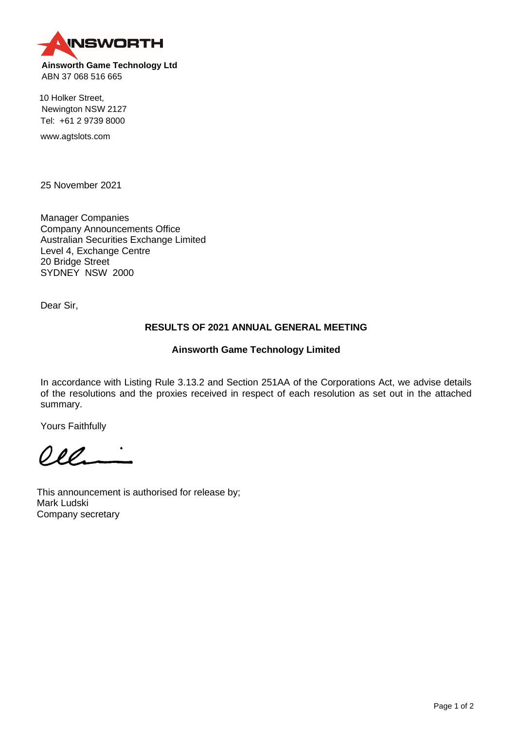**INSWORTH Ainsworth Game Technology Ltd**

ABN 37 068 516 665

10 Holker Street, Newington NSW 2127 Tel: +61 2 9739 8000

www.agtslots.com

25 November 2021

Manager Companies Company Announcements Office Australian Securities Exchange Limited Level 4, Exchange Centre 20 Bridge Street SYDNEY NSW 2000

Dear Sir,

## **RESULTS OF 2021 ANNUAL GENERAL MEETING**

## **Ainsworth Game Technology Limited**

In accordance with Listing Rule 3.13.2 and Section 251AA of the Corporations Act, we advise details of the resolutions and the proxies received in respect of each resolution as set out in the attached summary.

Yours Faithfully

 $O_{\ell}$ 

This announcement is authorised for release by; Mark Ludski Company secretary